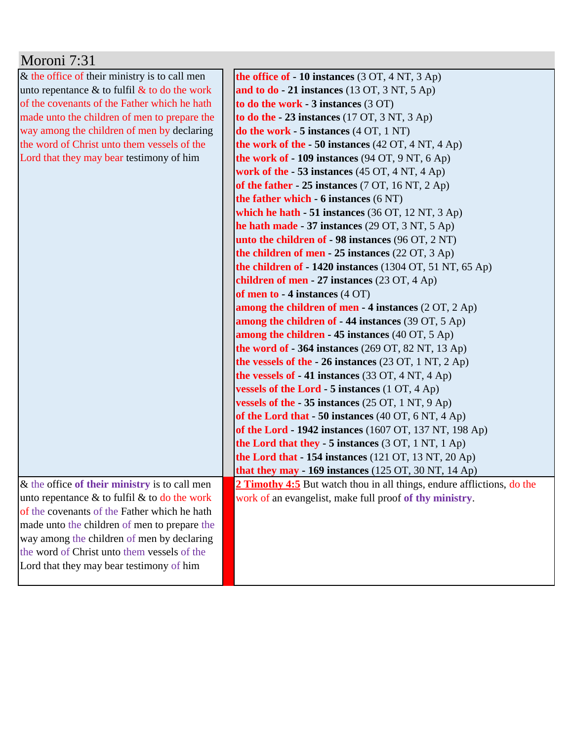| Moroni 7:31                                        |                                                                                |
|----------------------------------------------------|--------------------------------------------------------------------------------|
| $\&$ the office of their ministry is to call men   | the office of $-10$ instances (3 OT, 4 NT, 3 Ap)                               |
| unto repentance $\&$ to fulfil $\&$ to do the work | and to $do - 21$ instances (13 OT, 3 NT, 5 Ap)                                 |
| of the covenants of the Father which he hath       | to do the work - 3 instances (3 OT)                                            |
| made unto the children of men to prepare the       | to do the $-23$ instances (17 OT, 3 NT, 3 Ap)                                  |
| way among the children of men by declaring         | do the work - 5 instances $(4 OT, 1 NT)$                                       |
| the word of Christ unto them vessels of the        | the work of the $-50$ instances (42 OT, 4 NT, 4 Ap)                            |
| Lord that they may bear testimony of him           | the work of $-109$ instances (94 OT, 9 NT, 6 Ap)                               |
|                                                    | work of the $-53$ instances (45 OT, 4 NT, 4 Ap)                                |
|                                                    | of the father - 25 instances $(7 \text{ OT}, 16 \text{ NT}, 2 \text{ Ap})$     |
|                                                    | the father which $-6$ instances $(6 \text{ NT})$                               |
|                                                    | which he hath $-51$ instances (36 OT, 12 NT, 3 Ap)                             |
|                                                    | he hath made - 37 instances $(29 \text{ OT}, 3 \text{ NT}, 5 \text{ Ap})$      |
|                                                    | unto the children of - 98 instances (96 OT, 2 NT)                              |
|                                                    | the children of men $-25$ instances (22 OT, 3 Ap)                              |
|                                                    | the children of $-1420$ instances (1304 OT, 51 NT, 65 Ap)                      |
|                                                    | children of men - 27 instances $(23 \text{ OT}, 4 \text{ Ap})$                 |
|                                                    | of men to $-4$ instances $(4 \text{ OT})$                                      |
|                                                    | among the children of men $-4$ instances (2 OT, 2 Ap)                          |
|                                                    | among the children of - 44 instances (39 OT, 5 Ap)                             |
|                                                    | among the children $-45$ instances (40 OT, 5 Ap)                               |
|                                                    | the word of $-364$ instances (269 OT, 82 NT, 13 Ap)                            |
|                                                    | the vessels of the $-26$ instances (23 OT, 1 NT, 2 Ap)                         |
|                                                    | the vessels of $-41$ instances (33 OT, 4 NT, 4 Ap)                             |
|                                                    | vessels of the Lord - 5 instances (1 OT, 4 Ap)                                 |
|                                                    | vessels of the - 35 instances (25 OT, 1 NT, 9 Ap)                              |
|                                                    | of the Lord that $-50$ instances (40 OT, 6 NT, 4 Ap)                           |
|                                                    | of the Lord - 1942 instances (1607 OT, 137 NT, 198 Ap)                         |
|                                                    | the Lord that they $-5$ instances (3 OT, 1 NT, 1 Ap)                           |
|                                                    | the Lord that - 154 instances (121 OT, 13 NT, 20 Ap)                           |
|                                                    | that they may - 169 instances $(125 \text{ OT}, 30 \text{ NT}, 14 \text{ Ap})$ |
| & the office of their ministry is to call men      | 2 Timothy 4:5 But watch thou in all things, endure afflictions, do the         |
| unto repentance $\&$ to fulfil $\&$ to do the work | work of an evangelist, make full proof of thy ministry.                        |
| of the covenants of the Father which he hath       |                                                                                |
| made unto the children of men to prepare the       |                                                                                |
| way among the children of men by declaring         |                                                                                |
| the word of Christ unto them vessels of the        |                                                                                |
| Lord that they may bear testimony of him           |                                                                                |
|                                                    |                                                                                |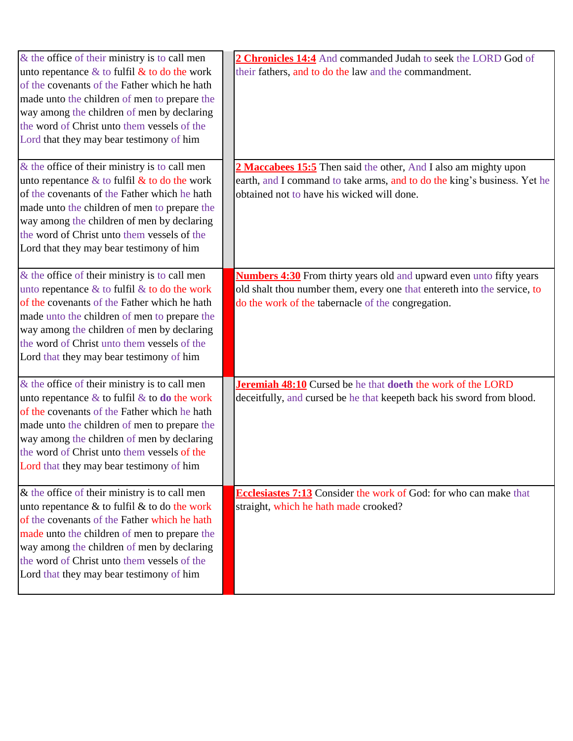| & the office of their ministry is to call men<br>unto repentance $\&$ to fulfil $&$ to do the work<br>of the covenants of the Father which he hath<br>made unto the children of men to prepare the<br>way among the children of men by declaring<br>the word of Christ unto them vessels of the<br>Lord that they may bear testimony of him         | 2 Chronicles 14:4 And commanded Judah to seek the LORD God of<br>their fathers, and to do the law and the commandment.                                                                                       |
|-----------------------------------------------------------------------------------------------------------------------------------------------------------------------------------------------------------------------------------------------------------------------------------------------------------------------------------------------------|--------------------------------------------------------------------------------------------------------------------------------------------------------------------------------------------------------------|
| & the office of their ministry is to call men<br>unto repentance $\&$ to fulfil $\&$ to do the work<br>of the covenants of the Father which he hath<br>made unto the children of men to prepare the<br>way among the children of men by declaring<br>the word of Christ unto them vessels of the<br>Lord that they may bear testimony of him        | 2 Maccabees 15:5 Then said the other, And I also am mighty upon<br>earth, and I command to take arms, and to do the king's business. Yet he<br>obtained not to have his wicked will done.                    |
| & the office of their ministry is to call men<br>unto repentance $\&$ to fulfil $\&$ to do the work<br>of the covenants of the Father which he hath<br>made unto the children of men to prepare the<br>way among the children of men by declaring<br>the word of Christ unto them vessels of the<br>Lord that they may bear testimony of him        | <b>Numbers 4:30</b> From thirty years old and upward even unto fifty years<br>old shalt thou number them, every one that entereth into the service, to<br>do the work of the tabernacle of the congregation. |
| & the office of their ministry is to call men<br>unto repentance $\&$ to fulfil $\&$ to <b>do</b> the work<br>of the covenants of the Father which he hath<br>made unto the children of men to prepare the<br>way among the children of men by declaring<br>the word of Christ unto them vessels of the<br>Lord that they may bear testimony of him | Jeremiah 48:10 Cursed be he that doeth the work of the LORD<br>deceitfully, and cursed be he that keepeth back his sword from blood.                                                                         |
| & the office of their ministry is to call men<br>unto repentance $\&$ to fulfil $&$ to do the work<br>of the covenants of the Father which he hath<br>made unto the children of men to prepare the<br>way among the children of men by declaring<br>the word of Christ unto them vessels of the<br>Lord that they may bear testimony of him         | Ecclesiastes 7:13 Consider the work of God: for who can make that<br>straight, which he hath made crooked?                                                                                                   |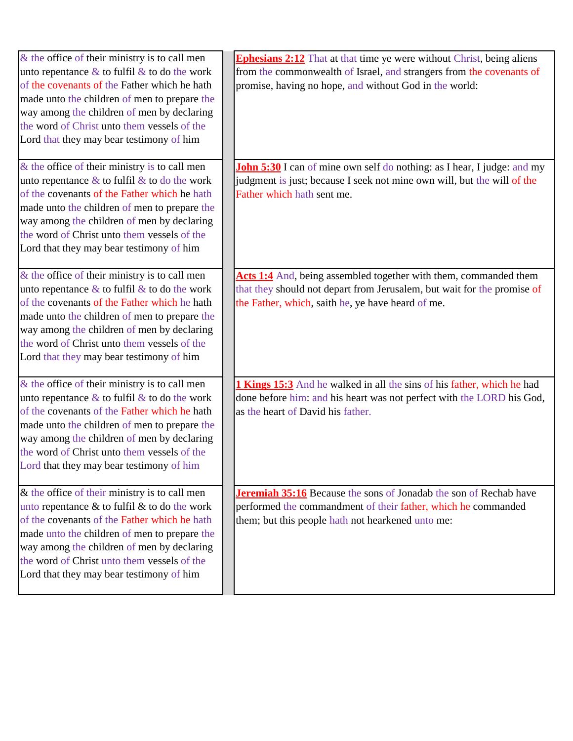| $&$ the office of their ministry is to call men<br>unto repentance $\&$ to fulfil $\&$ to do the work<br>of the covenants of the Father which he hath<br>made unto the children of men to prepare the<br>way among the children of men by declaring<br>the word of Christ unto them vessels of the<br>Lord that they may bear testimony of him | <b>Ephesians 2:12</b> That at that time ye were without Christ, being aliens<br>from the commonwealth of Israel, and strangers from the covenants of<br>promise, having no hope, and without God in the world: |
|------------------------------------------------------------------------------------------------------------------------------------------------------------------------------------------------------------------------------------------------------------------------------------------------------------------------------------------------|----------------------------------------------------------------------------------------------------------------------------------------------------------------------------------------------------------------|
| & the office of their ministry is to call men<br>unto repentance $\&$ to fulfil $\&$ to do the work<br>of the covenants of the Father which he hath<br>made unto the children of men to prepare the<br>way among the children of men by declaring<br>the word of Christ unto them vessels of the<br>Lord that they may bear testimony of him   | <b>John 5:30</b> I can of mine own self do nothing: as I hear, I judge: and my<br>judgment is just; because I seek not mine own will, but the will of the<br>Father which hath sent me.                        |
| $&$ the office of their ministry is to call men<br>unto repentance $\&$ to fulfil $\&$ to do the work<br>of the covenants of the Father which he hath<br>made unto the children of men to prepare the<br>way among the children of men by declaring<br>the word of Christ unto them vessels of the<br>Lord that they may bear testimony of him | Acts 1:4 And, being assembled together with them, commanded them<br>that they should not depart from Jerusalem, but wait for the promise of<br>the Father, which, saith he, ye have heard of me.               |
| & the office of their ministry is to call men<br>unto repentance $\&$ to fulfil $\&$ to do the work<br>of the covenants of the Father which he hath<br>made unto the children of men to prepare the<br>way among the children of men by declaring<br>the word of Christ unto them vessels of the<br>Lord that they may bear testimony of him   | 1 Kings 15:3 And he walked in all the sins of his father, which he had<br>done before him: and his heart was not perfect with the LORD his God,<br>as the heart of David his father.                           |
| & the office of their ministry is to call men<br>unto repentance $\&$ to fulfil $\&$ to do the work<br>of the covenants of the Father which he hath<br>made unto the children of men to prepare the<br>way among the children of men by declaring<br>the word of Christ unto them vessels of the<br>Lord that they may bear testimony of him   | Jeremiah 35:16 Because the sons of Jonadab the son of Rechab have<br>performed the commandment of their father, which he commanded<br>them; but this people hath not hearkened unto me:                        |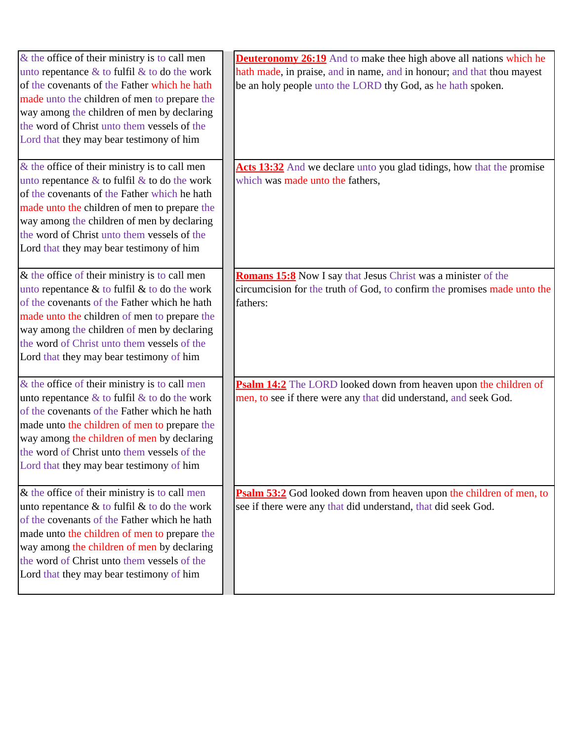| $&$ the office of their ministry is to call men    | <b>Deuteronomy 26:19</b> And to make thee high above all nations which he  |
|----------------------------------------------------|----------------------------------------------------------------------------|
| unto repentance $\&$ to fulfil $\&$ to do the work | hath made, in praise, and in name, and in honour; and that thou mayest     |
| of the covenants of the Father which he hath       | be an holy people unto the LORD thy God, as he hath spoken.                |
| made unto the children of men to prepare the       |                                                                            |
| way among the children of men by declaring         |                                                                            |
| the word of Christ unto them vessels of the        |                                                                            |
| Lord that they may bear testimony of him           |                                                                            |
|                                                    |                                                                            |
| $&$ the office of their ministry is to call men    | Acts 13:32 And we declare unto you glad tidings, how that the promise      |
| unto repentance $\&$ to fulfil $\&$ to do the work | which was made unto the fathers,                                           |
| of the covenants of the Father which he hath       |                                                                            |
| made unto the children of men to prepare the       |                                                                            |
| way among the children of men by declaring         |                                                                            |
| the word of Christ unto them vessels of the        |                                                                            |
| Lord that they may bear testimony of him           |                                                                            |
|                                                    |                                                                            |
| & the office of their ministry is to call men      | Romans 15:8 Now I say that Jesus Christ was a minister of the              |
| unto repentance $\&$ to fulfil $\&$ to do the work | circumcision for the truth of God, to confirm the promises made unto the   |
| of the covenants of the Father which he hath       | fathers:                                                                   |
| made unto the children of men to prepare the       |                                                                            |
| way among the children of men by declaring         |                                                                            |
| the word of Christ unto them vessels of the        |                                                                            |
| Lord that they may bear testimony of him           |                                                                            |
|                                                    |                                                                            |
| $&$ the office of their ministry is to call men    | Psalm 14:2 The LORD looked down from heaven upon the children of           |
| unto repentance $\&$ to fulfil $\&$ to do the work | men, to see if there were any that did understand, and seek God.           |
| of the covenants of the Father which he hath       |                                                                            |
| made unto the children of men to prepare the       |                                                                            |
| way among the children of men by declaring         |                                                                            |
| the word of Christ unto them vessels of the        |                                                                            |
| Lord that they may bear testimony of him           |                                                                            |
|                                                    |                                                                            |
| & the office of their ministry is to call men      | <b>Psalm 53:2</b> God looked down from heaven upon the children of men, to |
| unto repentance $\&$ to fulfil $\&$ to do the work | see if there were any that did understand, that did seek God.              |
| of the covenants of the Father which he hath       |                                                                            |
| made unto the children of men to prepare the       |                                                                            |
| way among the children of men by declaring         |                                                                            |
| the word of Christ unto them vessels of the        |                                                                            |
| Lord that they may bear testimony of him           |                                                                            |
|                                                    |                                                                            |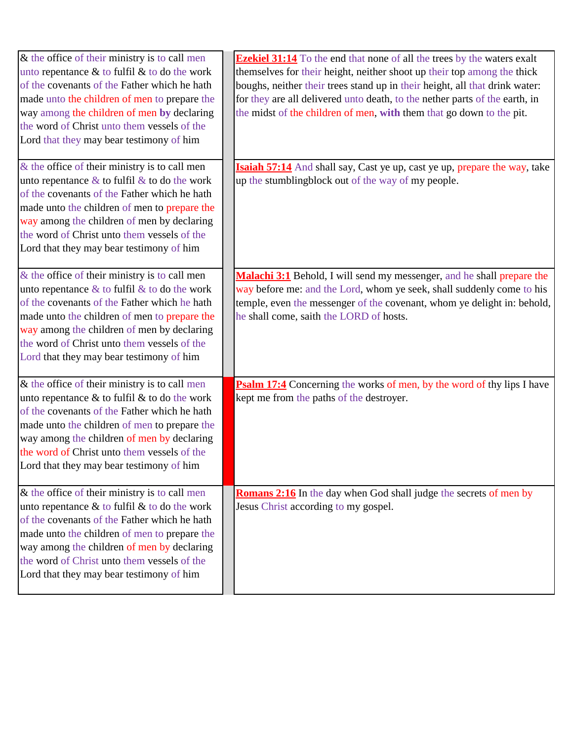| $&$ the office of their ministry is to call men<br>unto repentance & to fulfil & to do the work<br>of the covenants of the Father which he hath<br>made unto the children of men to prepare the<br>way among the children of men by declaring<br>the word of Christ unto them vessels of the<br>Lord that they may bear testimony of him       | <b>Ezekiel 31:14</b> To the end that none of all the trees by the waters exalt<br>themselves for their height, neither shoot up their top among the thick<br>boughs, neither their trees stand up in their height, all that drink water:<br>for they are all delivered unto death, to the nether parts of the earth, in<br>the midst of the children of men, with them that go down to the pit. |
|------------------------------------------------------------------------------------------------------------------------------------------------------------------------------------------------------------------------------------------------------------------------------------------------------------------------------------------------|-------------------------------------------------------------------------------------------------------------------------------------------------------------------------------------------------------------------------------------------------------------------------------------------------------------------------------------------------------------------------------------------------|
| $&$ the office of their ministry is to call men<br>unto repentance $\&$ to fulfil $\&$ to do the work<br>of the covenants of the Father which he hath<br>made unto the children of men to prepare the<br>way among the children of men by declaring<br>the word of Christ unto them vessels of the<br>Lord that they may bear testimony of him | <b>Isaiah 57:14</b> And shall say, Cast ye up, cast ye up, prepare the way, take<br>up the stumblingblock out of the way of my people.                                                                                                                                                                                                                                                          |
| & the office of their ministry is to call men<br>unto repentance & to fulfil & to do the work<br>of the covenants of the Father which he hath<br>made unto the children of men to prepare the<br>way among the children of men by declaring<br>the word of Christ unto them vessels of the<br>Lord that they may bear testimony of him         | Malachi 3:1 Behold, I will send my messenger, and he shall prepare the<br>way before me: and the Lord, whom ye seek, shall suddenly come to his<br>temple, even the messenger of the covenant, whom ye delight in: behold,<br>he shall come, saith the LORD of hosts.                                                                                                                           |
| & the office of their ministry is to call men<br>unto repentance $\&$ to fulfil $\&$ to do the work<br>of the covenants of the Father which he hath<br>made unto the children of men to prepare the<br>way among the children of men by declaring<br>the word of Christ unto them vessels of the<br>Lord that they may bear testimony of him   | Psalm 17:4 Concerning the works of men, by the word of thy lips I have<br>kept me from the paths of the destroyer.                                                                                                                                                                                                                                                                              |
| & the office of their ministry is to call men<br>unto repentance $\&$ to fulfil $\&$ to do the work<br>of the covenants of the Father which he hath<br>made unto the children of men to prepare the<br>way among the children of men by declaring<br>the word of Christ unto them vessels of the<br>Lord that they may bear testimony of him   | <b>Romans 2:16</b> In the day when God shall judge the secrets of men by<br>Jesus Christ according to my gospel.                                                                                                                                                                                                                                                                                |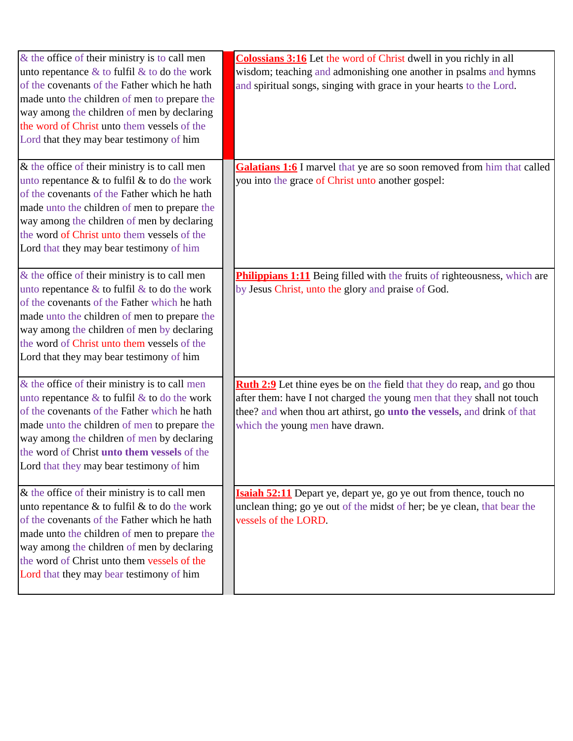| $&$ the office of their ministry is to call men<br>unto repentance $\&$ to fulfil $\&$ to do the work<br>of the covenants of the Father which he hath<br>made unto the children of men to prepare the<br>way among the children of men by declaring<br>the word of Christ unto them vessels of the<br>Lord that they may bear testimony of him  | <b>Colossians 3:16</b> Let the word of Christ dwell in you richly in all<br>wisdom; teaching and admonishing one another in psalms and hymns<br>and spiritual songs, singing with grace in your hearts to the Lord.                                                   |
|-------------------------------------------------------------------------------------------------------------------------------------------------------------------------------------------------------------------------------------------------------------------------------------------------------------------------------------------------|-----------------------------------------------------------------------------------------------------------------------------------------------------------------------------------------------------------------------------------------------------------------------|
| $\&$ the office of their ministry is to call men<br>unto repentance $\&$ to fulfil $\&$ to do the work<br>of the covenants of the Father which he hath<br>made unto the children of men to prepare the<br>way among the children of men by declaring<br>the word of Christ unto them vessels of the<br>Lord that they may bear testimony of him | Galatians 1:6 I marvel that ye are so soon removed from him that called<br>you into the grace of Christ unto another gospel:                                                                                                                                          |
| $&$ the office of their ministry is to call men<br>unto repentance $\&$ to fulfil $\&$ to do the work<br>of the covenants of the Father which he hath<br>made unto the children of men to prepare the<br>way among the children of men by declaring<br>the word of Christ unto them vessels of the<br>Lord that they may bear testimony of him  | Philippians 1:11 Being filled with the fruits of righteousness, which are<br>by Jesus Christ, unto the glory and praise of God.                                                                                                                                       |
| & the office of their ministry is to call men<br>unto repentance $\&$ to fulfil $\&$ to do the work<br>of the covenants of the Father which he hath<br>made unto the children of men to prepare the<br>way among the children of men by declaring<br>the word of Christ unto them vessels of the<br>Lord that they may bear testimony of him    | <b>Ruth 2:9</b> Let thine eyes be on the field that they do reap, and go thou<br>after them: have I not charged the young men that they shall not touch<br>thee? and when thou art athirst, go unto the vessels, and drink of that<br>which the young men have drawn. |
| & the office of their ministry is to call men<br>unto repentance $\&$ to fulfil $\&$ to do the work<br>of the covenants of the Father which he hath<br>made unto the children of men to prepare the<br>way among the children of men by declaring<br>the word of Christ unto them vessels of the<br>Lord that they may bear testimony of him    | <b>Isaiah 52:11</b> Depart ye, depart ye, go ye out from thence, touch no<br>unclean thing; go ye out of the midst of her; be ye clean, that bear the<br>vessels of the LORD.                                                                                         |